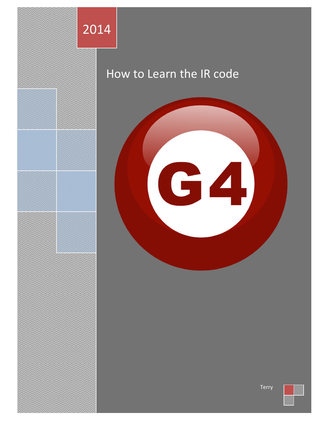

## How to Learn the IR code



Terry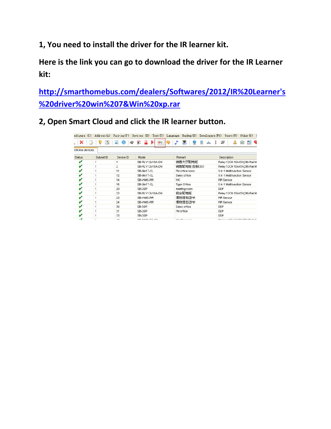**1, You need to install the driver for the IR learner kit.**

**Here is the link you can go to download the driver for the IR Learner kit:**

**[http://smarthomebus.com/dealers/Softwares/2012/IR%20Learner's](http://smarthomebus.com/dealers/Softwares/2012/IR%20Learner) [%20driver%20win%207&Win%20xp.rar](http://smarthomebus.com/dealers/Softwares/2012/IR%20Learner)**

**2, Open Smart Cloud and click the IR learner button.**

| nfigure (C)     | Address (A) | Pairing(P)      | Devices (D)<br>Test(T)                               | Backup (B)<br>Language        | Developers (F9) Users (U)<br>$0$ ther $(0)$ |
|-----------------|-------------|-----------------|------------------------------------------------------|-------------------------------|---------------------------------------------|
|                 |             | 臻               | $\overline{\mathcal{K}}$<br>$\mathcal{D}^{\mu}$<br>A | 靐<br>丽                        | $\mathcal{F}$<br>E                          |
| ON-line devices |             |                 |                                                      |                               |                                             |
| Status          | Subnet ID   | Device ID       | Model                                                | <b>Remark</b>                 | Description                                 |
|                 |             | 1               | SB-RLY12c10A-DN                                      | 销售大厅配电柜                       | Relay 12CH 10A/CH, DIN-Rail M               |
|                 |             | $\overline{2}$  | SB-RLY12c10A-DN                                      | 销售配电柜 控制CEO                   | Relay 12CH 10A/CH, DIN-Rail M               |
| v               | 1           | 11              | SB-9in1T-CL                                          | FM office boss                | 9 in 1 Multifunction Sensor                 |
|                 |             | 12              | SB-9in1T-CL                                          | Sales office                  | 9 in 1 Multifunction Sensor                 |
|                 |             | 14              | SB-WMS-PIR                                           | <b>WC</b>                     | <b>PIR Sensor</b>                           |
|                 |             | 15              | SB-9in1T-CL                                          | <b>Tiger Office</b>           | 9 in 1 Multifunction Sensor                 |
|                 |             | 20              | SB-DDP                                               | meeting room                  | <b>DDP</b>                                  |
|                 |             | 22              | SB-RLY12c10A-DN                                      | 前台配电柜                         | Relay 12CH 10A/CH, DIN-Rail M               |
|                 |             | 23              | SB-WMS-PIR                                           | 博物馆右边PIR                      | PIR Sensor                                  |
|                 |             | 24              | SB-WMS-PIR                                           | 博物馆左边PIR                      | PIR Sensor                                  |
|                 |             | 30              | SB-DDP                                               | Sales office                  | <b>DDP</b>                                  |
|                 |             | 31              | SB-DDP                                               | FM office                     | <b>DDP</b>                                  |
|                 |             | 33              | SB-DDP                                               |                               | <b>DDP</b>                                  |
| ت               | ×           | 40 <sup>o</sup> | CD DIMCLOS DAL                                       | A dia within an international | Division COLLON MILLONE DAILY LA            |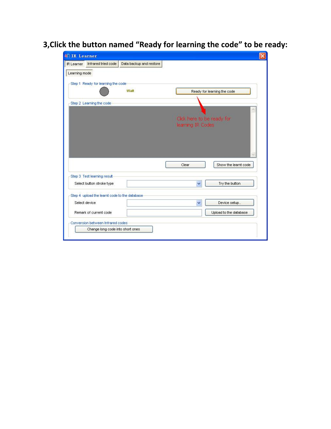## **3,Click the button named "Ready for learning the code" to be ready:**

| Infrared tried code<br>IR Learner             | Data backup and restore |                                                 |
|-----------------------------------------------|-------------------------|-------------------------------------------------|
| Learning mode                                 |                         |                                                 |
| Step 1 Ready for learning the code            |                         |                                                 |
|                                               | Wait                    | Ready for learning the code                     |
|                                               |                         |                                                 |
| Step 2 Learning the code                      |                         |                                                 |
|                                               |                         |                                                 |
|                                               |                         | Click here to be ready for<br>learning IR Codes |
|                                               |                         |                                                 |
|                                               |                         |                                                 |
|                                               |                         |                                                 |
|                                               |                         |                                                 |
|                                               |                         |                                                 |
|                                               |                         |                                                 |
|                                               |                         |                                                 |
|                                               |                         |                                                 |
|                                               |                         | Show the learnt code<br>Clear                   |
| Step 3 Test learning result                   |                         |                                                 |
| Select button stroke type                     |                         | Try the button<br>Ÿ                             |
|                                               |                         |                                                 |
| Step 4 upload the learnt code to the database |                         |                                                 |
| Select device                                 |                         | Device setup<br>×                               |
|                                               |                         |                                                 |
| Remark of current code                        |                         | Upload to the database                          |
| Conversion between Infrared codes             |                         |                                                 |
| Change long code into short ones.             |                         |                                                 |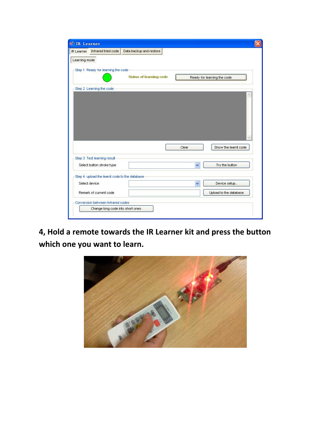|               | IR Learner Infrared tried code                | Data backup and restore        |              |                             |
|---------------|-----------------------------------------------|--------------------------------|--------------|-----------------------------|
| Learning mode |                                               |                                |              |                             |
|               | Step 1 Ready for learning the code            |                                |              |                             |
|               |                                               | <b>Status of learning code</b> |              | Ready for learning the code |
|               | Step 2 Learning the code                      |                                |              |                             |
|               |                                               |                                |              |                             |
|               |                                               |                                |              |                             |
|               |                                               |                                |              |                             |
|               |                                               |                                |              |                             |
|               |                                               |                                |              |                             |
|               |                                               |                                |              |                             |
|               |                                               |                                |              |                             |
|               |                                               |                                |              |                             |
|               |                                               |                                |              |                             |
|               |                                               |                                |              |                             |
|               |                                               |                                | Clear        | Show the learnt code        |
|               |                                               |                                |              |                             |
|               | Step 3 Test learning result                   |                                |              |                             |
|               | Select button stroke type                     |                                | Ÿ            | Try the button              |
|               |                                               |                                |              |                             |
|               | Step 4 upload the learnt code to the database |                                |              |                             |
|               | Select device                                 |                                | $\checkmark$ | Device setup                |
|               | Remark of current code                        |                                |              | Upload to the database      |
|               | Conversion between Infrared codes             |                                |              |                             |

**4, Hold a remote towards the IR Learner kit and press the button which one you want to learn.**

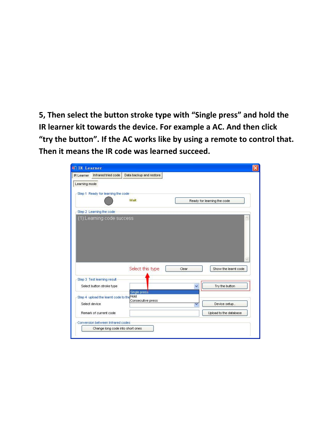**5, Then select the button stroke type with "Single press" and hold the IR learner kit towards the device. For example a AC. And then click "try the button". If the AC works like by using a remote to control that. Then it means the IR code was learned succeed.**

| IR Learner    | Infrared tried code                                                   | Data backup and restore |       |                             |
|---------------|-----------------------------------------------------------------------|-------------------------|-------|-----------------------------|
| Learning mode |                                                                       |                         |       |                             |
|               | Step 1 Ready for learning the code                                    |                         |       |                             |
|               |                                                                       | Wait                    |       | Ready for learning the code |
|               | Step 2 Learning the code                                              |                         |       |                             |
|               | (1):Learning code success                                             |                         |       |                             |
|               |                                                                       |                         |       |                             |
|               |                                                                       |                         |       |                             |
|               |                                                                       |                         |       |                             |
|               |                                                                       |                         |       |                             |
|               |                                                                       |                         |       |                             |
|               |                                                                       |                         |       |                             |
|               |                                                                       |                         |       |                             |
|               |                                                                       |                         |       |                             |
|               |                                                                       |                         |       |                             |
|               |                                                                       |                         |       |                             |
|               |                                                                       | Select this type        | Clear | Show the learnt code        |
|               |                                                                       |                         |       |                             |
|               | Step 3 Test learning result                                           |                         |       |                             |
|               | Select button stroke type                                             |                         | v     | Try the button              |
|               |                                                                       | Single press            |       |                             |
|               | Step 4 upload the learnt code to the Hold                             |                         |       |                             |
|               | Select device                                                         | Consecutive press       | ▽     | Device setup                |
|               |                                                                       |                         |       |                             |
|               | Remark of current code                                                |                         |       | Upload to the database      |
|               |                                                                       |                         |       |                             |
|               | Conversion between Infrared codes<br>Change long code into short ones |                         |       |                             |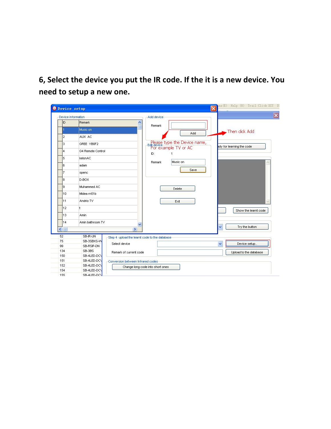**6, Select the device you put the IR code. If the it is a new device. You need to setup a new one.**

| Device information |                                      |                                                                | Add device |                              |   |                           |  |
|--------------------|--------------------------------------|----------------------------------------------------------------|------------|------------------------------|---|---------------------------|--|
| ID                 | Remark                               | ۸                                                              |            |                              |   |                           |  |
|                    | Music on                             |                                                                | Remark     |                              |   | Then click Add            |  |
| $\overline{2}$     | AUX AC                               |                                                                |            | Add                          |   |                           |  |
| 3                  | GREE YB0F2                           |                                                                |            | Please type the Device name, |   | ady for learning the code |  |
| 4                  | G4 Remote Control                    |                                                                |            | For example TV or AC<br>ID:  |   |                           |  |
| 5                  | kelonAC                              |                                                                |            |                              |   |                           |  |
| 6                  | adam                                 |                                                                | Remark     | Music on                     |   |                           |  |
| $\overline{7}$     | spenc                                |                                                                |            | Save                         |   |                           |  |
| 8                  | D-BOX                                |                                                                |            |                              |   |                           |  |
| 9                  | Muhammed AC                          |                                                                |            | Delete                       |   |                           |  |
| 10                 | Midea rn51b                          |                                                                |            |                              |   |                           |  |
| 11                 | Andrio TV                            |                                                                |            | Exit                         |   |                           |  |
| 12                 |                                      |                                                                |            |                              |   | Show the learnt code      |  |
| 13                 | <b>Amin</b>                          |                                                                |            |                              |   |                           |  |
| 14                 | Amin bathroom TV                     | v                                                              |            |                              |   |                           |  |
| $\leftarrow$       |                                      | $\rightarrow$                                                  |            |                              | v | Try the button            |  |
| 52<br>75<br>99     | SB-IR-UN<br>SB-3SBXS-W<br>SB-RSIP-DN | Step 4 upload the learnt code to the database<br>Select device |            |                              | v | Device setup              |  |
| 134                | SB-3BS                               |                                                                |            |                              |   |                           |  |
| 150                | SB-4LED-DCV                          | Remark of current code                                         |            |                              |   | Upload to the database    |  |
| 151                | SB-4LED-DCV                          | Conversion between Infrared codes                              |            |                              |   |                           |  |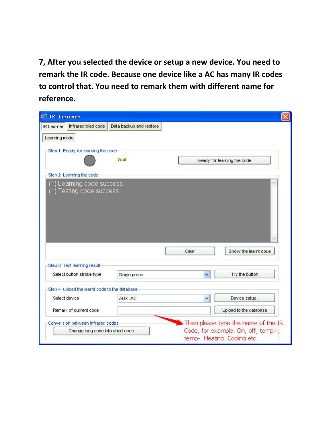**7, After you selected the device or setup a new device. You need to remark the IR code. Because one device like a AC has many IR codes to control that. You need to remark them with different name for reference.**

| Infrared tried code<br><b>IR</b> Learner                 | Data backup and restore |       |                                                                           |
|----------------------------------------------------------|-------------------------|-------|---------------------------------------------------------------------------|
| Learning mode                                            |                         |       |                                                                           |
| Step 1 Ready for learning the code                       |                         |       |                                                                           |
|                                                          | Wait                    |       | Ready for learning the code                                               |
| Step 2 Learning the code                                 |                         |       |                                                                           |
| (1):Learning code success                                |                         |       |                                                                           |
| (1):Testing code success                                 |                         |       |                                                                           |
|                                                          |                         |       |                                                                           |
|                                                          |                         |       |                                                                           |
|                                                          |                         |       |                                                                           |
|                                                          |                         |       |                                                                           |
|                                                          |                         |       |                                                                           |
|                                                          |                         |       |                                                                           |
|                                                          |                         |       |                                                                           |
|                                                          |                         | Clear | Show the learnt code                                                      |
|                                                          |                         |       |                                                                           |
| Step 3 Test learning result<br>Select button stroke type | Single press            |       | Try the button                                                            |
| Step 4 upload the learnt code to the database            |                         |       |                                                                           |
| Select device                                            | AUX AC                  | ٧     | Device setup                                                              |
| Remark of current code                                   |                         |       | Upload to the database                                                    |
| Conversion between Infrared codes                        |                         |       |                                                                           |
| Change long code into short ones                         |                         |       | Then please type the name of the IR<br>Code, for example: On, off, temp+, |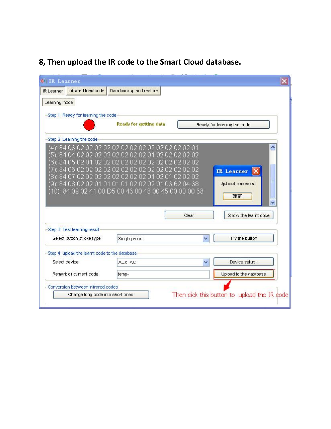## **8, Then upload the IR code to the Smart Cloud database.**

| Infrared tried code<br>IR Learner                              | Data backup and restore                                                                              |                   |                                                    |
|----------------------------------------------------------------|------------------------------------------------------------------------------------------------------|-------------------|----------------------------------------------------|
| Learning mode                                                  |                                                                                                      |                   |                                                    |
| Step 1 Ready for learning the code                             |                                                                                                      |                   |                                                    |
|                                                                | <b>Ready for getting data</b>                                                                        |                   | Ready for learning the code                        |
| Step 2 Learning the code                                       |                                                                                                      |                   |                                                    |
| 84<br>5<br>84<br>05<br>06<br>П                                 | 04 02 02 02 02 02 02 02 02 01 02 02 02 02 02<br>02<br>12 02 02 02 0                                  | 02.02.02          | 木<br>IR Learner                                    |
| m<br>П2<br>ర<br>84 08 02 02 01 01 01 01                        | 02 02 02 02<br>01 03 62 04 38<br>-02.02<br>02<br>i): 84 09 02 41 00 D5 00 43 00 48 00 45 00 00 00 38 | 02 02 02<br>Clear | Ξ<br>Upload success!<br>确定<br>Show the learnt code |
| Step 3 Test learning result<br>Select button stroke type       |                                                                                                      | $\checkmark$      | Try the button                                     |
|                                                                | Single press                                                                                         |                   |                                                    |
| Step 4 upload the learnt code to the database<br>Select device |                                                                                                      |                   |                                                    |
|                                                                | AUX AC                                                                                               |                   | Device setup                                       |
| Remark of current code                                         | temp-                                                                                                |                   | Upload to the database                             |